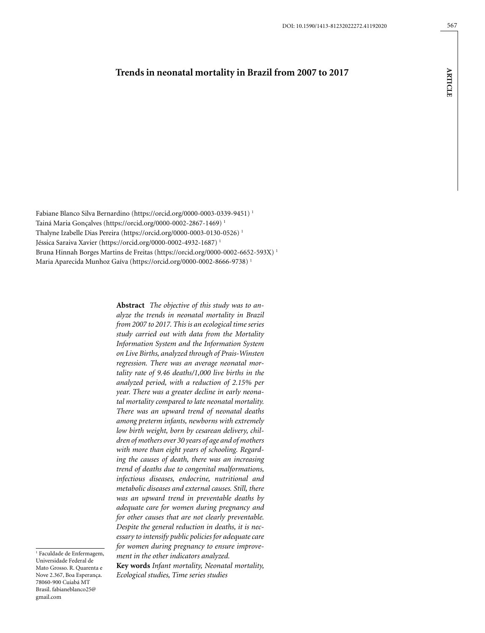# **Trends in neonatal mortality in Brazil from 2007 to 2017**

Fabiane Blanco Silva Bernardino (https://orcid.org/0000-0003-0339-9451) 1 Tainá Maria Gonçalves (https://orcid.org/0000-0002-2867-1469) 1 Thalyne Izabelle Dias Pereira (<https://orcid.org/0000-0003-0130-0526>) 1 Jéssica Saraiva Xavier [\(https://orcid.org/0000-0002-4932-1687](https://orcid.org/0000-0002-4932-1687)) 1 Bruna Hinnah Borges Martins de Freitas (https://orcid.org/0000-0002-6652-593X) 1 Maria Aparecida Munhoz Gaíva (https://orcid.org/0000-0002-8666-9738) 1

> **Abstract** *The objective of this study was to analyze the trends in neonatal mortality in Brazil from 2007 to 2017. This is an ecological time series study carried out with data from the Mortality Information System and the Information System on Live Births, analyzed through of Prais-Winsten regression. There was an average neonatal mortality rate of 9.46 deaths/1,000 live births in the analyzed period, with a reduction of 2.15% per year. There was a greater decline in early neonatal mortality compared to late neonatal mortality. There was an upward trend of neonatal deaths among preterm infants, newborns with extremely low birth weight, born by cesarean delivery, children of mothers over 30 years of age and of mothers with more than eight years of schooling. Regarding the causes of death, there was an increasing trend of deaths due to congenital malformations, infectious diseases, endocrine, nutritional and metabolic diseases and external causes. Still, there was an upward trend in preventable deaths by adequate care for women during pregnancy and for other causes that are not clearly preventable. Despite the general reduction in deaths, it is necessary to intensify public policies for adequate care for women during pregnancy to ensure improvement in the other indicators analyzed.*

1 Faculdade de Enfermagem, Universidade Federal de Mato Grosso. R. Quarenta e Nove 2.367, Boa Esperança. 78060-900 Cuiabá MT Brasil. [fabianeblanco25@](mailto:fabianeblanco25@gmail.com) [gmail.com](mailto:fabianeblanco25@gmail.com)

**Key words** *Infant mortality, Neonatal mortality, Ecological studies, Time series studies*

**article**

**ARTICLE**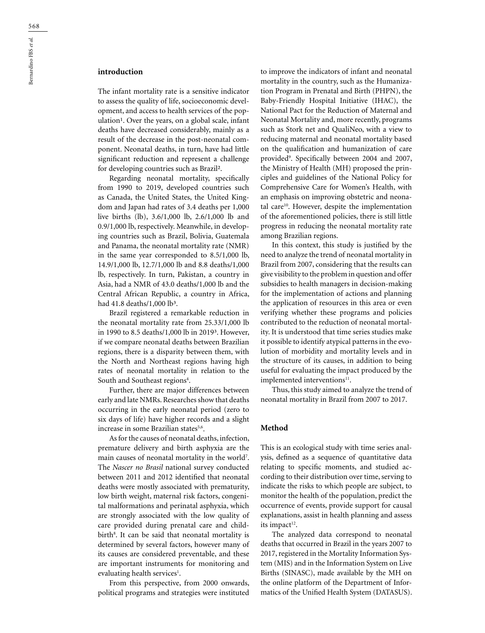## **introduction**

The infant mortality rate is a sensitive indicator to assess the quality of life, socioeconomic development, and access to health services of the population<sup>1</sup>. Over the years, on a global scale, infant deaths have decreased considerably, mainly as a result of the decrease in the post-neonatal component. Neonatal deaths, in turn, have had little significant reduction and represent a challenge for developing countries such as Brazil².

Regarding neonatal mortality, specifically from 1990 to 2019, developed countries such as Canada, the United States, the United Kingdom and Japan had rates of 3.4 deaths per 1,000 live births (lb), 3.6/1,000 lb, 2.6/1,000 lb and 0.9/1,000 lb, respectively. Meanwhile, in developing countries such as Brazil, Bolivia, Guatemala and Panama, the neonatal mortality rate (NMR) in the same year corresponded to 8.5/1,000 lb, 14.9/1,000 lb, 12.7/1,000 lb and 8.8 deaths/1,000 lb, respectively. In turn, Pakistan, a country in Asia, had a NMR of 43.0 deaths/1,000 lb and the Central African Republic, a country in Africa, had 41.8 deaths/1,000 lb<sup>3</sup>.

Brazil registered a remarkable reduction in the neonatal mortality rate from 25.33/1,000 lb in 1990 to 8.5 deaths/1,000 lb in 2019<sup>3</sup>. However, if we compare neonatal deaths between Brazilian regions, there is a disparity between them, with the North and Northeast regions having high rates of neonatal mortality in relation to the South and Southeast regions<sup>4</sup>.

Further, there are major differences between early and late NMRs. Researches show that deaths occurring in the early neonatal period (zero to six days of life) have higher records and a slight increase in some Brazilian states<sup>5,6</sup>.

As for the causes of neonatal deaths, infection, premature delivery and birth asphyxia are the main causes of neonatal mortality in the world<sup>7</sup>. The *Nascer no Brasil* national survey conducted between 2011 and 2012 identified that neonatal deaths were mostly associated with prematurity, low birth weight, maternal risk factors, congenital malformations and perinatal asphyxia, which are strongly associated with the low quality of care provided during prenatal care and childbirth<sup>8</sup>. It can be said that neonatal mortality is determined by several factors, however many of its causes are considered preventable, and these are important instruments for monitoring and evaluating health services<sup>1</sup>.

From this perspective, from 2000 onwards, political programs and strategies were instituted to improve the indicators of infant and neonatal mortality in the country, such as the Humanization Program in Prenatal and Birth (PHPN), the Baby-Friendly Hospital Initiative (IHAC), the National Pact for the Reduction of Maternal and Neonatal Mortality and, more recently, programs such as Stork net and QualiNeo, with a view to reducing maternal and neonatal mortality based on the qualification and humanization of care provided9 . Specifically between 2004 and 2007, the Ministry of Health (MH) proposed the principles and guidelines of the National Policy for Comprehensive Care for Women's Health, with an emphasis on improving obstetric and neonatal care<sup>10</sup>. However, despite the implementation of the aforementioned policies, there is still little progress in reducing the neonatal mortality rate among Brazilian regions.

In this context, this study is justified by the need to analyze the trend of neonatal mortality in Brazil from 2007, considering that the results can give visibility to the problem in question and offer subsidies to health managers in decision-making for the implementation of actions and planning the application of resources in this area or even verifying whether these programs and policies contributed to the reduction of neonatal mortality. It is understood that time series studies make it possible to identify atypical patterns in the evolution of morbidity and mortality levels and in the structure of its causes, in addition to being useful for evaluating the impact produced by the implemented interventions<sup>11</sup>.

Thus, this study aimed to analyze the trend of neonatal mortality in Brazil from 2007 to 2017.

### **Method**

This is an ecological study with time series analysis, defined as a sequence of quantitative data relating to specific moments, and studied according to their distribution over time, serving to indicate the risks to which people are subject, to monitor the health of the population, predict the occurrence of events, provide support for causal explanations, assist in health planning and assess its impact $12$ .

The analyzed data correspond to neonatal deaths that occurred in Brazil in the years 2007 to 2017, registered in the Mortality Information System (MIS) and in the Information System on Live Births (SINASC), made available by the MH on the online platform of the Department of Informatics of the Unified Health System (DATASUS).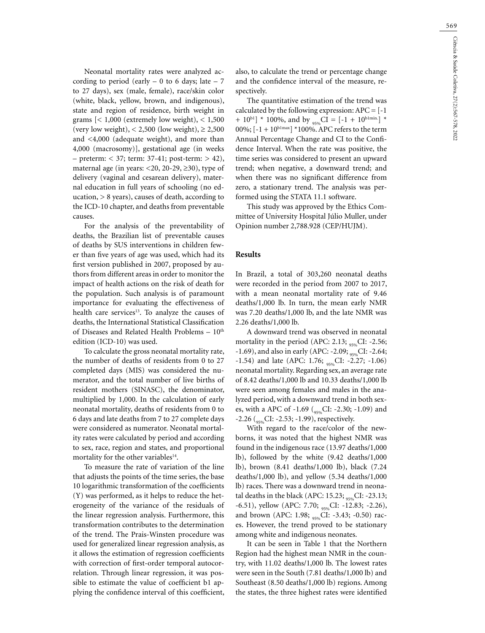569

Neonatal mortality rates were analyzed according to period (early  $-0$  to 6 days; late  $-7$ to 27 days), sex (male, female), race/skin color (white, black, yellow, brown, and indigenous), state and region of residence, birth weight in grams  $\left[$  < 1,000 (extremely low weight), < 1,500 (very low weight), < 2,500 (low weight),  $\geq 2,500$ and <4,000 (adequate weight), and more than 4,000 (macrosomy)], gestational age (in weeks  $-$  preterm:  $<$  37; term: 37-41; post-term:  $>$  42), maternal age (in years:  $\langle 20, 20, 29, 230 \rangle$ , type of delivery (vaginal and cesarean delivery), maternal education in full years of schooling (no education,  $> 8$  years), causes of death, according to the ICD-10 chapter, and deaths from preventable causes.

For the analysis of the preventability of deaths, the Brazilian list of preventable causes of deaths by SUS interventions in children fewer than five years of age was used, which had its first version published in 2007, proposed by authors from different areas in order to monitor the impact of health actions on the risk of death for the population. Such analysis is of paramount importance for evaluating the effectiveness of health care services<sup>13</sup>. To analyze the causes of deaths, the International Statistical Classification of Diseases and Related Health Problems -  $10^{\text{th}}$ edition (ICD-10) was used.

To calculate the gross neonatal mortality rate, the number of deaths of residents from 0 to 27 completed days (MIS) was considered the numerator, and the total number of live births of resident mothers (SINASC), the denominator, multiplied by 1,000. In the calculation of early neonatal mortality, deaths of residents from 0 to 6 days and late deaths from 7 to 27 complete days were considered as numerator. Neonatal mortality rates were calculated by period and according to sex, race, region and states, and proportional mortality for the other variables $14$ .

To measure the rate of variation of the line that adjusts the points of the time series, the base 10 logarithmic transformation of the coefficients (Y) was performed, as it helps to reduce the heterogeneity of the variance of the residuals of the linear regression analysis. Furthermore, this transformation contributes to the determination of the trend. The Prais-Winsten procedure was used for generalized linear regression analysis, as it allows the estimation of regression coefficients with correction of first-order temporal autocorrelation. Through linear regression, it was possible to estimate the value of coefficient b1 applying the confidence interval of this coefficient,

also, to calculate the trend or percentage change and the confidence interval of the measure, respectively.

The quantitative estimation of the trend was calculated by the following expression:  $APC = [-1]$ +  $10^{b1}$  \* 100%, and by <sub>95%</sub>CI = [-1 + 10<sup>b1min.</sup>] \* 00%;  $[-1 + 10^{b1max}] * 100\%$ . APC refers to the term Annual Percentage Change and CI to the Confidence Interval. When the rate was positive, the time series was considered to present an upward trend; when negative, a downward trend; and when there was no significant difference from zero, a stationary trend. The analysis was performed using the STATA 11.1 software.

This study was approved by the Ethics Committee of University Hospital Júlio Muller, under Opinion number 2,788.928 (CEP/HUJM).

### **Results**

In Brazil, a total of 303,260 neonatal deaths were recorded in the period from 2007 to 2017, with a mean neonatal mortality rate of 9.46 deaths/1,000 lb. In turn, the mean early NMR was 7.20 deaths/1,000 lb, and the late NMR was 2.26 deaths/1,000 lb.

A downward trend was observed in neonatal mortality in the period (APC: 2.13;  $_{95\%}$ CI: -2.56; -1.69), and also in early (APC: -2.09; <sub>95%</sub>CI: -2.64; -1.54) and late (APC: 1.76;  $_{95\%}$ CI: -2.27; -1.06) neonatal mortality. Regarding sex, an average rate of 8.42 deaths/1,000 lb and 10.33 deaths/1,000 lb were seen among females and males in the analyzed period, with a downward trend in both sexes, with a APC of -1.69 (<sub>95%</sub>CI: -2.30; -1.09) and  $-2.26$  ( $_{95\%}$ CI:  $-2.53$ ;  $-1.99$ ), respectively.

With regard to the race/color of the newborns, it was noted that the highest NMR was found in the indigenous race (13.97 deaths/1,000 lb), followed by the white (9.42 deaths/1,000 lb), brown (8.41 deaths/1,000 lb), black (7.24 deaths/1,000 lb), and yellow (5.34 deaths/1,000 lb) races. There was a downward trend in neonatal deaths in the black (APC: 15.23;  $_{95\%}$ CI: -23.13; -6.51), yellow (APC: 7.70; <sub>95%</sub>CI: -12.83; -2.26), and brown (APC: 1.98;  $_{95\%}$ CI: -3.43; -0.50) races. However, the trend proved to be stationary among white and indigenous neonates.

It can be seen in Table 1 that the Northern Region had the highest mean NMR in the country, with 11.02 deaths/1,000 lb. The lowest rates were seen in the South (7.81 deaths/1,000 lb) and Southeast (8.50 deaths/1,000 lb) regions. Among the states, the three highest rates were identified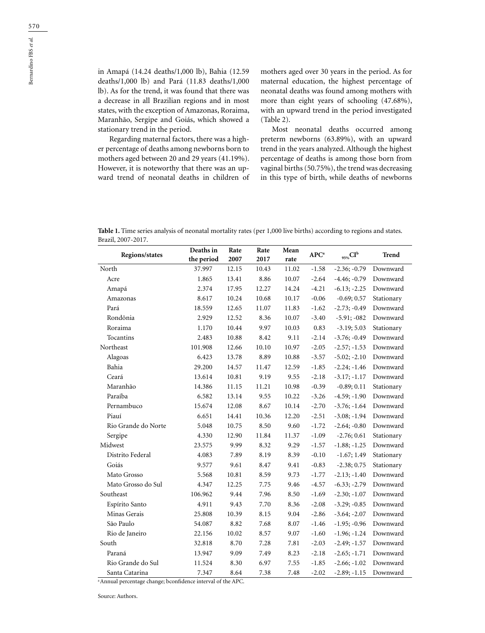in Amapá (14.24 deaths/1,000 lb), Bahia (12.59 deaths/1,000 lb) and Pará (11.83 deaths/1,000 lb). As for the trend, it was found that there was a decrease in all Brazilian regions and in most states, with the exception of Amazonas, Roraima, Maranhão, Sergipe and Goiás, which showed a stationary trend in the period.

Regarding maternal factors, there was a higher percentage of deaths among newborns born to mothers aged between 20 and 29 years (41.19%). However, it is noteworthy that there was an upward trend of neonatal deaths in children of mothers aged over 30 years in the period. As for maternal education, the highest percentage of neonatal deaths was found among mothers with more than eight years of schooling (47.68%), with an upward trend in the period investigated (Table 2).

Most neonatal deaths occurred among preterm newborns (63.89%), with an upward trend in the years analyzed. Although the highest percentage of deaths is among those born from vaginal births (50.75%), the trend was decreasing in this type of birth, while deaths of newborns

| Table 1. Time series analysis of neonatal mortality rates (per 1,000 live births) according to regions and states. |
|--------------------------------------------------------------------------------------------------------------------|
| Brazil, 2007-2017.                                                                                                 |

| <b>Regions/states</b> | Deaths in<br>the period | Rate<br>2007 | Rate<br>2017 | Mean<br>rate | <b>APC</b> <sup>a</sup> | $_{95\%}CI^b$  | Trend      |
|-----------------------|-------------------------|--------------|--------------|--------------|-------------------------|----------------|------------|
| North                 | 37.997                  | 12.15        | 10.43        | 11.02        | $-1.58$                 | $-2.36; -0.79$ | Downward   |
| Acre                  | 1.865                   | 13.41        | 8.86         | 10.07        | $-2.64$                 | $-4.46; -0.79$ | Downward   |
| Amapá                 | 2.374                   | 17.95        | 12.27        | 14.24        | $-4.21$                 | $-6.13; -2.25$ | Downward   |
| Amazonas              | 8.617                   | 10.24        | 10.68        | 10.17        | $-0.06$                 | $-0.69; 0.57$  | Stationary |
| Pará                  | 18.559                  | 12.65        | 11.07        | 11.83        | $-1.62$                 | $-2.73; -0.49$ | Downward   |
| Rondônia              | 2.929                   | 12.52        | 8.36         | 10.07        | $-3.40$                 | $-5.91; -082$  | Downward   |
| Roraima               | 1.170                   | 10.44        | 9.97         | 10.03        | 0.83                    | $-3.19; 5.03$  | Stationary |
| Tocantins             | 2.483                   | 10.88        | 8.42         | 9.11         | $-2.14$                 | $-3.76; -0.49$ | Downward   |
| Northeast             | 101.908                 | 12.66        | 10.10        | 10.97        | $-2.05$                 | $-2.57; -1.53$ | Downward   |
| Alagoas               | 6.423                   | 13.78        | 8.89         | 10.88        | $-3.57$                 | $-5.02; -2.10$ | Downward   |
| Bahia                 | 29.200                  | 14.57        | 11.47        | 12.59        | $-1.85$                 | $-2.24; -1.46$ | Downward   |
| Ceará                 | 13.614                  | 10.81        | 9.19         | 9.55         | $-2.18$                 | $-3.17; -1.17$ | Downward   |
| Maranhão              | 14.386                  | 11.15        | 11.21        | 10.98        | $-0.39$                 | $-0.89; 0.11$  | Stationary |
| Paraíba               | 6.582                   | 13.14        | 9.55         | 10.22        | $-3.26$                 | $-4.59; -1.90$ | Downward   |
| Pernambuco            | 15.674                  | 12.08        | 8.67         | 10.14        | $-2.70$                 | $-3.76; -1.64$ | Downward   |
| Piauí                 | 6.651                   | 14.41        | 10.36        | 12.20        | $-2.51$                 | $-3.08; -1.94$ | Downward   |
| Rio Grande do Norte   | 5.048                   | 10.75        | 8.50         | 9.60         | $-1.72$                 | $-2.64; -0.80$ | Downward   |
| Sergipe               | 4.330                   | 12.90        | 11.84        | 11.37        | $-1.09$                 | $-2.76; 0.61$  | Stationary |
| Midwest               | 23.575                  | 9.99         | 8.32         | 9.29         | $-1.57$                 | $-1.88; -1.25$ | Downward   |
| Distrito Federal      | 4.083                   | 7.89         | 8.19         | 8.39         | $-0.10$                 | $-1.67; 1.49$  | Stationary |
| Goiás                 | 9.577                   | 9.61         | 8.47         | 9.41         | $-0.83$                 | $-2.38; 0.75$  | Stationary |
| Mato Grosso           | 5.568                   | 10.81        | 8.59         | 9.73         | $-1.77$                 | $-2.13; -1.40$ | Downward   |
| Mato Grosso do Sul    | 4.347                   | 12.25        | 7.75         | 9.46         | $-4.57$                 | $-6.33; -2.79$ | Downward   |
| Southeast             | 106.962                 | 9.44         | 7.96         | 8.50         | $-1.69$                 | $-2.30; -1.07$ | Downward   |
| Espírito Santo        | 4.911                   | 9.43         | 7.70         | 8.36         | $-2.08$                 | $-3.29; -0.85$ | Downward   |
| Minas Gerais          | 25.808                  | 10.39        | 8.15         | 9.04         | $-2.86$                 | $-3.64; -2.07$ | Downward   |
| São Paulo             | 54.087                  | 8.82         | 7.68         | 8.07         | $-1.46$                 | $-1.95; -0.96$ | Downward   |
| Rio de Janeiro        | 22.156                  | 10.02        | 8.57         | 9.07         | $-1.60$                 | $-1.96; -1.24$ | Downward   |
| South                 | 32.818                  | 8.70         | 7.28         | 7.81         | $-2.03$                 | $-2.49; -1.57$ | Downward   |
| Paraná                | 13.947                  | 9.09         | 7.49         | 8.23         | $-2.18$                 | $-2.65; -1.71$ | Downward   |
| Rio Grande do Sul     | 11.524                  | 8.30         | 6.97         | 7.55         | $-1.85$                 | $-2.66; -1.02$ | Downward   |
| Santa Catarina        | 7.347                   | 8.64         | 7.38         | 7.48         | $-2.02$                 | $-2.89; -1.15$ | Downward   |

a Annual percentage change; bconfidence interval of the APC.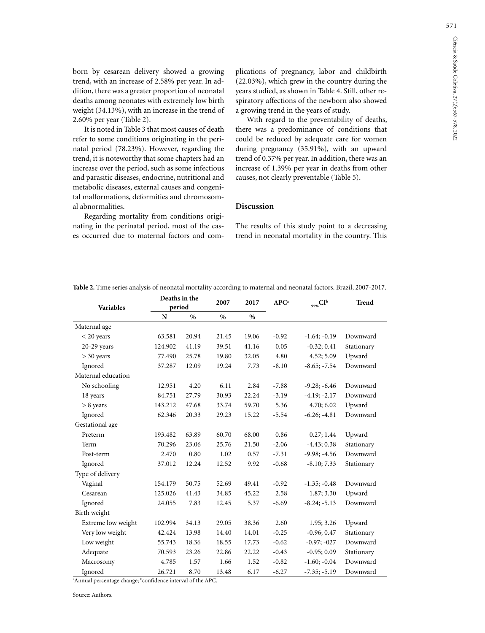571

born by cesarean delivery showed a growing trend, with an increase of 2.58% per year. In addition, there was a greater proportion of neonatal deaths among neonates with extremely low birth weight (34.13%), with an increase in the trend of 2.60% per year (Table 2).

It is noted in Table 3 that most causes of death refer to some conditions originating in the perinatal period (78.23%). However, regarding the trend, it is noteworthy that some chapters had an increase over the period, such as some infectious and parasitic diseases, endocrine, nutritional and metabolic diseases, external causes and congenital malformations, deformities and chromosomal abnormalities.

Regarding mortality from conditions originating in the perinatal period, most of the cases occurred due to maternal factors and complications of pregnancy, labor and childbirth (22.03%), which grew in the country during the years studied, as shown in Table 4. Still, other respiratory affections of the newborn also showed a growing trend in the years of study.

With regard to the preventability of deaths, there was a predominance of conditions that could be reduced by adequate care for women during pregnancy (35.91%), with an upward trend of 0.37% per year. In addition, there was an increase of 1.39% per year in deaths from other causes, not clearly preventable (Table 5).

### **Discussion**

The results of this study point to a decreasing trend in neonatal mortality in the country. This

| Deaths in the<br>period<br><b>Variables</b> |                                                                                                                 | 2007  | 2017  |               | $_{95\%}CI^b$ | <b>Trend</b>   |            |
|---------------------------------------------|-----------------------------------------------------------------------------------------------------------------|-------|-------|---------------|---------------|----------------|------------|
|                                             | N                                                                                                               | $\%$  | $\%$  | $\frac{0}{0}$ |               |                |            |
| Maternal age                                |                                                                                                                 |       |       |               |               |                |            |
| $<$ 20 years                                | 63.581                                                                                                          | 20.94 | 21.45 | 19.06         | $-0.92$       | $-1.64; -0.19$ | Downward   |
| $20-29$ years                               | 124.902                                                                                                         | 41.19 | 39.51 | 41.16         | 0.05          | $-0.32; 0.41$  | Stationary |
| $>$ 30 years                                | 77.490                                                                                                          | 25.78 | 19.80 | 32.05         | 4.80          | 4.52; 5.09     | Upward     |
| Ignored                                     | 37.287                                                                                                          | 12.09 | 19.24 | 7.73          | $-8.10$       | $-8.65; -7.54$ | Downward   |
| Maternal education                          |                                                                                                                 |       |       |               |               |                |            |
| No schooling                                | 12.951                                                                                                          | 4.20  | 6.11  | 2.84          | $-7.88$       | $-9.28; -6.46$ | Downward   |
| 18 years                                    | 84.751                                                                                                          | 27.79 | 30.93 | 22.24         | $-3.19$       | $-4.19; -2.17$ | Downward   |
| > 8 years                                   | 143.212                                                                                                         | 47.68 | 33.74 | 59.70         | 5.36          | 4.70; 6.02     | Upward     |
| Ignored                                     | 62.346                                                                                                          | 20.33 | 29.23 | 15.22         | $-5.54$       | $-6.26; -4.81$ | Downward   |
| Gestational age                             |                                                                                                                 |       |       |               |               |                |            |
| Preterm                                     | 193.482                                                                                                         | 63.89 | 60.70 | 68.00         | 0.86          | 0.27; 1.44     | Upward     |
| Term                                        | 70.296                                                                                                          | 23.06 | 25.76 | 21.50         | $-2.06$       | $-4.43; 0.38$  | Stationary |
| Post-term                                   | 2.470                                                                                                           | 0.80  | 1.02  | 0.57          | $-7.31$       | $-9.98; -4.56$ | Downward   |
| Ignored                                     | 37.012                                                                                                          | 12.24 | 12.52 | 9.92          | $-0.68$       | $-8.10; 7.33$  | Stationary |
| Type of delivery                            |                                                                                                                 |       |       |               |               |                |            |
| Vaginal                                     | 154.179                                                                                                         | 50.75 | 52.69 | 49.41         | $-0.92$       | $-1.35; -0.48$ | Downward   |
| Cesarean                                    | 125.026                                                                                                         | 41.43 | 34.85 | 45.22         | 2.58          | 1.87; 3.30     | Upward     |
| Ignored                                     | 24.055                                                                                                          | 7.83  | 12.45 | 5.37          | $-6.69$       | $-8.24; -5.13$ | Downward   |
| Birth weight                                |                                                                                                                 |       |       |               |               |                |            |
| Extreme low weight                          | 102.994                                                                                                         | 34.13 | 29.05 | 38.36         | 2.60          | 1.95; 3.26     | Upward     |
| Very low weight                             | 42.424                                                                                                          | 13.98 | 14.40 | 14.01         | $-0.25$       | $-0.96; 0.47$  | Stationary |
| Low weight                                  | 55.743                                                                                                          | 18.36 | 18.55 | 17.73         | $-0.62$       | $-0.97; -027$  | Downward   |
| Adequate                                    | 70.593                                                                                                          | 23.26 | 22.86 | 22.22         | $-0.43$       | $-0.95; 0.09$  | Stationary |
| Macrosomy                                   | 4.785                                                                                                           | 1.57  | 1.66  | 1.52          | $-0.82$       | $-1.60; -0.04$ | Downward   |
| Ignored                                     | 26.721<br>$h_{\text{max}}$ $f_{\text{max}}$ $f_{\text{max}}$ $f_{\text{max}}$ $f_{\text{max}}$ $f_{\text{max}}$ | 8.70  | 13.48 | 6.17          | $-6.27$       | $-7.35; -5.19$ | Downward   |

**Table 2.** Time series analysis of neonatal mortality according to maternal and neonatal factors. Brazil, 2007-2017.

<sup>a</sup> Annual percentage change; <sup>b</sup>confidence interval of the APC.

Source: Authors.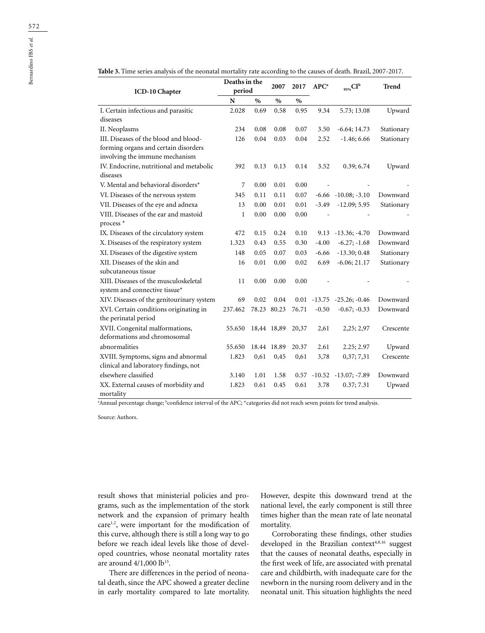|                                           | Deaths in the<br>period |      |             |       |                  |                             |              |
|-------------------------------------------|-------------------------|------|-------------|-------|------------------|-----------------------------|--------------|
| ICD-10 Chapter                            |                         |      | 2007        | 2017  | APC <sup>a</sup> | $_{95\%}CI^b$               | <b>Trend</b> |
|                                           | N                       | $\%$ | $\%$        | $\%$  |                  |                             |              |
| I. Certain infectious and parasitic       | 2.028                   | 0.69 | 0.58        | 0.95  | 9.34             | 5.73; 13.08                 | Upward       |
| diseases                                  |                         |      |             |       |                  |                             |              |
| II. Neoplasms                             | 234                     | 0.08 | 0.08        | 0.07  | 3.50             | $-6.64; 14.73$              | Stationary   |
| III. Diseases of the blood and blood-     | 126                     | 0.04 | 0.03        | 0.04  | 2.52             | $-1.46; 6.66$               | Stationary   |
| forming organs and certain disorders      |                         |      |             |       |                  |                             |              |
| involving the immune mechanism            |                         |      |             |       |                  |                             |              |
| IV. Endocrine, nutritional and metabolic  | 392                     | 0.13 | 0.13        | 0.14  | 3.52             | 0.39; 6.74                  | Upward       |
| diseases                                  |                         |      |             |       |                  |                             |              |
| V. Mental and behavioral disorders*       | 7                       | 0.00 | 0.01        | 0.00  |                  |                             |              |
| VI. Diseases of the nervous system        | 345                     | 0.11 | 0.11        | 0.07  |                  | $-6.66$ $-10.08$ ; $-3.10$  | Downward     |
| VII. Diseases of the eye and adnexa       | 13                      | 0.00 | 0.01        | 0.01  | $-3.49$          | $-12.09; 5.95$              | Stationary   |
| VIII. Diseases of the ear and mastoid     | $\mathbf{1}$            | 0.00 | 0.00        | 0.00  |                  |                             |              |
| process <sup>*</sup>                      |                         |      |             |       |                  |                             |              |
| IX. Diseases of the circulatory system    | 472                     | 0.15 | 0.24        | 0.10  |                  | $9.13 - 13.36$ ; $-4.70$    | Downward     |
| X. Diseases of the respiratory system     | 1.323                   | 0.43 | 0.55        | 0.30  | $-4.00$          | $-6.27; -1.68$              | Downward     |
| XI. Diseases of the digestive system      | 148                     | 0.05 | 0.07        | 0.03  | $-6.66$          | $-13.30; 0.48$              | Stationary   |
| XII. Diseases of the skin and             | 16                      | 0.01 | 0.00        | 0.02  | 6.69             | $-6.06; 21.17$              | Stationary   |
| subcutaneous tissue                       |                         |      |             |       |                  |                             |              |
| XIII. Diseases of the musculoskeletal     | 11                      | 0.00 | 0.00        | 0.00  |                  |                             |              |
| system and connective tissue*             |                         |      |             |       |                  |                             |              |
| XIV. Diseases of the genitourinary system | 69                      | 0.02 | 0.04        | 0.01  |                  | $-13.75$ $-25.26$ ; $-0.46$ | Downward     |
| XVI. Certain conditions originating in    | 237.462                 |      | 78.23 80.23 | 76.71 | $-0.50$          | $-0.67; -0.33$              | Downward     |
| the perinatal period                      |                         |      |             |       |                  |                             |              |
| XVII. Congenital malformations,           | 55.650                  |      | 18,44 18,89 | 20,37 | 2,61             | 2,25; 2,97                  | Crescente    |
| deformations and chromosomal              |                         |      |             |       |                  |                             |              |
| abnormalities                             | 55.650                  |      | 18.44 18.89 | 20.37 | 2.61             | 2.25; 2.97                  | Upward       |
| XVIII. Symptoms, signs and abnormal       | 1.823                   | 0,61 | 0,45        | 0,61  | 3,78             | 0,37;7,31                   | Crescente    |
| clinical and laboratory findings, not     |                         |      |             |       |                  |                             |              |
| elsewhere classified                      | 3.140                   | 1.01 | 1.58        | 0.57  | $-10.52$         | $-13.07; -7.89$             | Downward     |
| XX. External causes of morbidity and      | 1.823                   | 0.61 | 0.45        | 0.61  | 3.78             | 0.37; 7.31                  | Upward       |
| mortality                                 |                         |      |             |       |                  |                             |              |

**Table 3.** Time series analysis of the neonatal mortality rate according to the causes of death. Brazil, 2007-2017.

a Annual percentage change; b confidence interval of the APC; \*categories did not reach seven points for trend analysis.

Source: Authors.

result shows that ministerial policies and programs, such as the implementation of the stork network and the expansion of primary health care<sup>1,2</sup>, were important for the modification of this curve, although there is still a long way to go before we reach ideal levels like those of developed countries, whose neonatal mortality rates are around  $4/1,000$  lb<sup>15</sup>.

There are differences in the period of neonatal death, since the APC showed a greater decline in early mortality compared to late mortality. However, despite this downward trend at the national level, the early component is still three times higher than the mean rate of late neonatal mortality.

Corroborating these findings, other studies developed in the Brazilian context<sup>4,8,16</sup> suggest that the causes of neonatal deaths, especially in the first week of life, are associated with prenatal care and childbirth, with inadequate care for the newborn in the nursing room delivery and in the neonatal unit. This situation highlights the need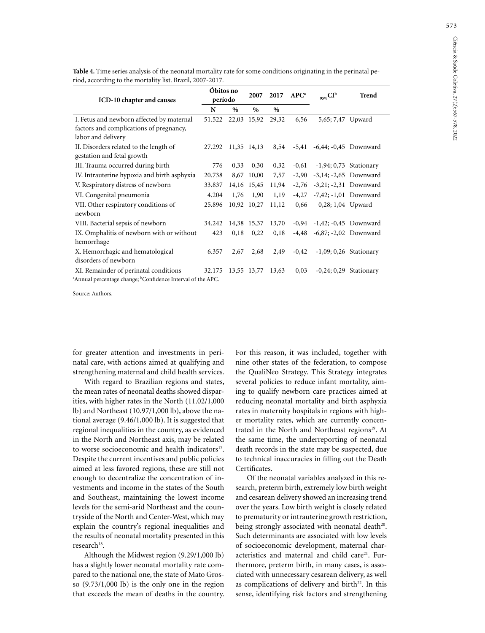| ICD-10 chapter and causes                                            | Óbitos no<br>período |       | 2007        | 2017  | APC <sup>a</sup> | $_{95\%}CI^b$                      | <b>Trend</b>            |
|----------------------------------------------------------------------|----------------------|-------|-------------|-------|------------------|------------------------------------|-------------------------|
|                                                                      |                      | $\%$  | $\%$        | $\%$  |                  |                                    |                         |
| I. Fetus and newborn affected by maternal                            | 51.522               |       | 22,03 15,92 | 29,32 | 6,56             | 5,65; 7,47 Upward                  |                         |
| factors and complications of pregnancy,<br>labor and delivery        |                      |       |             |       |                  |                                    |                         |
| II. Disorders related to the length of<br>gestation and fetal growth | 27.292               |       | 11,35 14,13 | 8,54  |                  | $-5,41$ $-6,44; -0,45$ Downward    |                         |
| III. Trauma occurred during birth                                    | 776                  | 0,33  | 0,30        | 0,32  | $-0,61$          |                                    | $-1,94;0,73$ Stationary |
| IV. Intrauterine hypoxia and birth asphyxia                          | 20.738               | 8,67  | 10,00       | 7,57  | $-2,90$          |                                    | $-3,14; -2,65$ Downward |
| V. Respiratory distress of newborn                                   | 33.837               |       | 14,16 15,45 | 11,94 | $-2,76$          | $-3,21; -2,31$ Downward            |                         |
| VI. Congenital pneumonia                                             | 4.204                | 1,76  | 1,90        | 1,19  | $-4,27$          |                                    | $-7,42; -1,01$ Downward |
| VII. Other respiratory conditions of<br>newborn                      | 25.896               | 10,92 | 10,27       | 11,12 | 0,66             | 0,28; 1,04 Upward                  |                         |
| VIII. Bacterial sepsis of newborn                                    | 34.242               |       | 14,38 15,37 | 13,70 |                  | $-0.94$ $-1.42$ ; $-0.45$ Downward |                         |
| IX. Omphalitis of newborn with or without<br>hemorrhage              | 423                  | 0,18  | 0,22        | 0,18  |                  | -4,48 -6,87; -2,02 Downward        |                         |
| X. Hemorrhagic and hematological<br>disorders of newborn             | 6.357                | 2,67  | 2,68        | 2,49  | $-0,42$          |                                    | $-1,09;0,26$ Stationary |
| XI. Remainder of perinatal conditions                                | 32.175               |       | 13,55 13,77 | 13,63 | 0,03             | $-0,24;0,29$                       | Stationary              |

**Table 4.** Time series analysis of the neonatal mortality rate for some conditions originating in the perinatal period, according to the mortality list. Brazil, 2007-2017.

<sup>a</sup>Annual percentage change; <sup>b</sup>Confidence Interval of the APC.

Source: Authors.

for greater attention and investments in perinatal care, with actions aimed at qualifying and strengthening maternal and child health services.

With regard to Brazilian regions and states, the mean rates of neonatal deaths showed disparities, with higher rates in the North (11.02/1,000 lb) and Northeast (10.97/1,000 lb), above the national average (9.46/1,000 lb). It is suggested that regional inequalities in the country, as evidenced in the North and Northeast axis, may be related to worse socioeconomic and health indicators<sup>17</sup>. Despite the current incentives and public policies aimed at less favored regions, these are still not enough to decentralize the concentration of investments and income in the states of the South and Southeast, maintaining the lowest income levels for the semi-arid Northeast and the countryside of the North and Center-West, which may explain the country's regional inequalities and the results of neonatal mortality presented in this research<sup>18</sup>.

Although the Midwest region (9.29/1,000 lb) has a slightly lower neonatal mortality rate compared to the national one, the state of Mato Grosso (9.73/1,000 lb) is the only one in the region that exceeds the mean of deaths in the country. For this reason, it was included, together with nine other states of the federation, to compose the QualiNeo Strategy. This Strategy integrates several policies to reduce infant mortality, aiming to qualify newborn care practices aimed at reducing neonatal mortality and birth asphyxia rates in maternity hospitals in regions with higher mortality rates, which are currently concentrated in the North and Northeast regions<sup>19</sup>. At the same time, the underreporting of neonatal death records in the state may be suspected, due to technical inaccuracies in filling out the Death Certificates.

Of the neonatal variables analyzed in this research, preterm birth, extremely low birth weight and cesarean delivery showed an increasing trend over the years. Low birth weight is closely related to prematurity or intrauterine growth restriction, being strongly associated with neonatal death<sup>20</sup>. Such determinants are associated with low levels of socioeconomic development, maternal characteristics and maternal and child care<sup>21</sup>. Furthermore, preterm birth, in many cases, is associated with unnecessary cesarean delivery, as well as complications of delivery and birth $22$ . In this sense, identifying risk factors and strengthening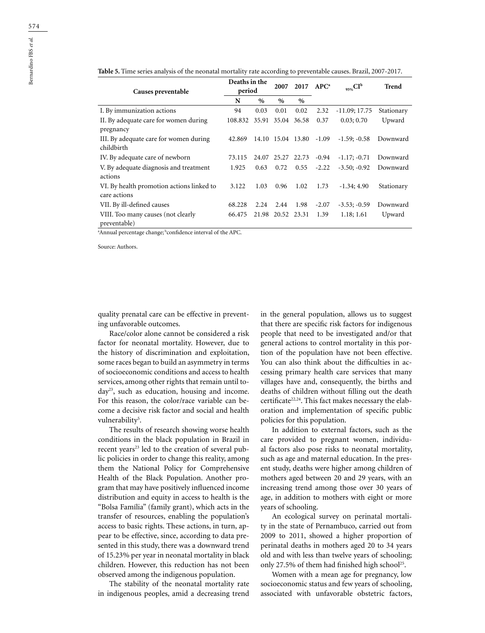| Causes preventable                                        | Deaths in the<br>period   |      | 2007              |                   | $2017$ APC <sup>a</sup> | $_{95\%}CI^{b}$ | Trend      |
|-----------------------------------------------------------|---------------------------|------|-------------------|-------------------|-------------------------|-----------------|------------|
|                                                           | N                         | $\%$ | $\%$              | $\%$              |                         |                 |            |
| I. By immunization actions                                | 94                        | 0.03 | 0.01              | 0.02              | 2.32                    | $-11.09; 17.75$ | Stationary |
| II. By adequate care for women during<br>pregnancy        | 108.832 35.91 35.04 36.58 |      |                   |                   | 0.37                    | 0.03; 0.70      | Upward     |
| III. By adequate care for women during<br>childbirth      | 42.869                    |      |                   | 14.10 15.04 13.80 | $-1.09$                 | $-1.59: -0.58$  | Downward   |
| IV. By adequate care of newborn                           | 73.115                    |      |                   | 24.07 25.27 22.73 | $-0.94$                 | $-1.17; -0.71$  | Downward   |
| V. By adequate diagnosis and treatment<br>actions         | 1.925                     | 0.63 | 0.72              | 0.55              | $-2.22$                 | $-3.50; -0.92$  | Downward   |
| VI. By health promotion actions linked to<br>care actions | 3.122                     | 1.03 | 0.96              | 1.02              | 1.73                    | $-1.34; 4.90$   | Stationary |
| VII. By ill-defined causes                                | 68.228                    | 2.24 | 2.44              | 1.98              | $-2.07$                 | $-3.53; -0.59$  | Downward   |
| VIII. Too many causes (not clearly<br>preventable)        | 66.475                    |      | 21.98 20.52 23.31 |                   | 1.39                    | 1.18; 1.61      | Upward     |

**Table 5.** Time series analysis of the neonatal mortality rate according to preventable causes. Brazil, 2007-2017.

a Annual percentage change; bconfidence interval of the APC.

Source: Authors.

quality prenatal care can be effective in preventing unfavorable outcomes.

Race/color alone cannot be considered a risk factor for neonatal mortality. However, due to the history of discrimination and exploitation, some races began to build an asymmetry in terms of socioeconomic conditions and access to health services, among other rights that remain until today23, such as education, housing and income. For this reason, the color/race variable can become a decisive risk factor and social and health vulnerability<sup>5</sup>.

The results of research showing worse health conditions in the black population in Brazil in recent years<sup>23</sup> led to the creation of several public policies in order to change this reality, among them the National Policy for Comprehensive Health of the Black Population. Another program that may have positively influenced income distribution and equity in access to health is the "Bolsa Família" (family grant), which acts in the transfer of resources, enabling the population's access to basic rights. These actions, in turn, appear to be effective, since, according to data presented in this study, there was a downward trend of 15.23% per year in neonatal mortality in black children. However, this reduction has not been observed among the indigenous population.

The stability of the neonatal mortality rate in indigenous peoples, amid a decreasing trend in the general population, allows us to suggest that there are specific risk factors for indigenous people that need to be investigated and/or that general actions to control mortality in this portion of the population have not been effective. You can also think about the difficulties in accessing primary health care services that many villages have and, consequently, the births and deaths of children without filling out the death certificate<sup>22,24</sup>. This fact makes necessary the elaboration and implementation of specific public policies for this population.

In addition to external factors, such as the care provided to pregnant women, individual factors also pose risks to neonatal mortality, such as age and maternal education. In the present study, deaths were higher among children of mothers aged between 20 and 29 years, with an increasing trend among those over 30 years of age, in addition to mothers with eight or more years of schooling.

An ecological survey on perinatal mortality in the state of Pernambuco, carried out from 2009 to 2011, showed a higher proportion of perinatal deaths in mothers aged 20 to 34 years old and with less than twelve years of schooling; only 27.5% of them had finished high school<sup>25</sup>.

Women with a mean age for pregnancy, low socioeconomic status and few years of schooling, associated with unfavorable obstetric factors,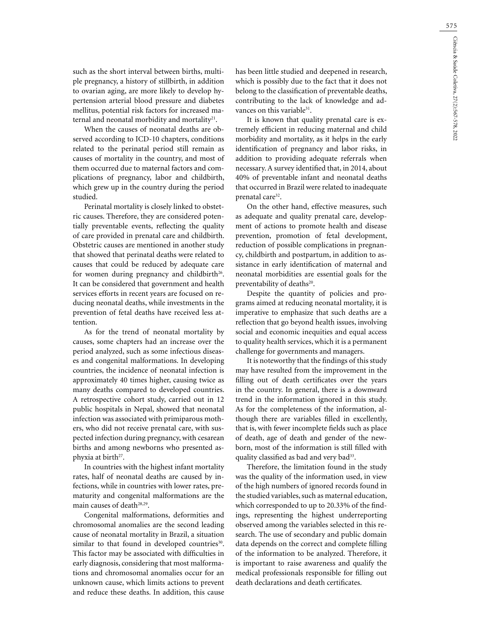575

such as the short interval between births, multiple pregnancy, a history of stillbirth, in addition to ovarian aging, are more likely to develop hypertension arterial blood pressure and diabetes mellitus, potential risk factors for increased maternal and neonatal morbidity and mortality<sup>21</sup>.

When the causes of neonatal deaths are observed according to ICD-10 chapters, conditions related to the perinatal period still remain as causes of mortality in the country, and most of them occurred due to maternal factors and complications of pregnancy, labor and childbirth, which grew up in the country during the period studied.

Perinatal mortality is closely linked to obstetric causes. Therefore, they are considered potentially preventable events, reflecting the quality of care provided in prenatal care and childbirth. Obstetric causes are mentioned in another study that showed that perinatal deaths were related to causes that could be reduced by adequate care for women during pregnancy and childbirth<sup>26</sup>. It can be considered that government and health services efforts in recent years are focused on reducing neonatal deaths, while investments in the prevention of fetal deaths have received less attention.

As for the trend of neonatal mortality by causes, some chapters had an increase over the period analyzed, such as some infectious diseases and congenital malformations. In developing countries, the incidence of neonatal infection is approximately 40 times higher, causing twice as many deaths compared to developed countries. A retrospective cohort study, carried out in 12 public hospitals in Nepal, showed that neonatal infection was associated with primiparous mothers, who did not receive prenatal care, with suspected infection during pregnancy, with cesarean births and among newborns who presented asphyxia at birth<sup>27</sup>.

In countries with the highest infant mortality rates, half of neonatal deaths are caused by infections, while in countries with lower rates, prematurity and congenital malformations are the main causes of death<sup>28,29</sup>.

Congenital malformations, deformities and chromosomal anomalies are the second leading cause of neonatal mortality in Brazil, a situation similar to that found in developed countries<sup>30</sup>. This factor may be associated with difficulties in early diagnosis, considering that most malformations and chromosomal anomalies occur for an unknown cause, which limits actions to prevent and reduce these deaths. In addition, this cause

has been little studied and deepened in research, which is possibly due to the fact that it does not belong to the classification of preventable deaths, contributing to the lack of knowledge and advances on this variable<sup>31</sup>.

It is known that quality prenatal care is extremely efficient in reducing maternal and child morbidity and mortality, as it helps in the early identification of pregnancy and labor risks, in addition to providing adequate referrals when necessary. A survey identified that, in 2014, about 40% of preventable infant and neonatal deaths that occurred in Brazil were related to inadequate prenatal care<sup>32</sup>.

On the other hand, effective measures, such as adequate and quality prenatal care, development of actions to promote health and disease prevention, promotion of fetal development, reduction of possible complications in pregnancy, childbirth and postpartum, in addition to assistance in early identification of maternal and neonatal morbidities are essential goals for the preventability of deaths<sup>20</sup>.

Despite the quantity of policies and programs aimed at reducing neonatal mortality, it is imperative to emphasize that such deaths are a reflection that go beyond health issues, involving social and economic inequities and equal access to quality health services, which it is a permanent challenge for governments and managers.

It is noteworthy that the findings of this study may have resulted from the improvement in the filling out of death certificates over the years in the country. In general, there is a downward trend in the information ignored in this study. As for the completeness of the information, although there are variables filled in excellently, that is, with fewer incomplete fields such as place of death, age of death and gender of the newborn, most of the information is still filled with quality classified as bad and very bad<sup>33</sup>.

Therefore, the limitation found in the study was the quality of the information used, in view of the high numbers of ignored records found in the studied variables, such as maternal education, which corresponded to up to 20.33% of the findings, representing the highest underreporting observed among the variables selected in this research. The use of secondary and public domain data depends on the correct and complete filling of the information to be analyzed. Therefore, it is important to raise awareness and qualify the medical professionals responsible for filling out death declarations and death certificates.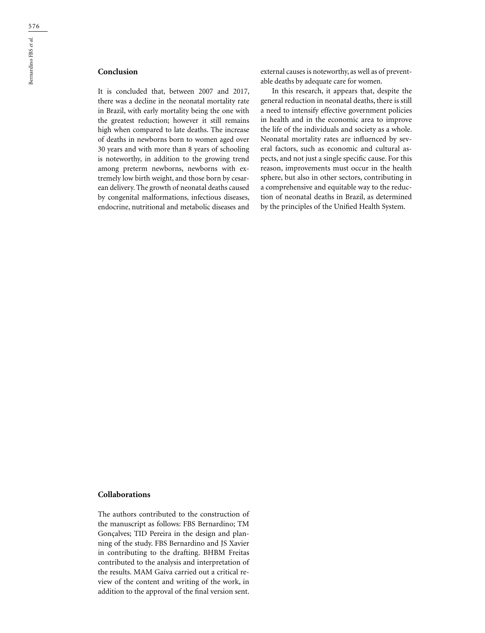It is concluded that, between 2007 and 2017, there was a decline in the neonatal mortality rate in Brazil, with early mortality being the one with the greatest reduction; however it still remains high when compared to late deaths. The increase of deaths in newborns born to women aged over 30 years and with more than 8 years of schooling is noteworthy, in addition to the growing trend among preterm newborns, newborns with extremely low birth weight, and those born by cesarean delivery. The growth of neonatal deaths caused by congenital malformations, infectious diseases, endocrine, nutritional and metabolic diseases and external causes is noteworthy, as well as of preventable deaths by adequate care for women.

In this research, it appears that, despite the general reduction in neonatal deaths, there is still a need to intensify effective government policies in health and in the economic area to improve the life of the individuals and society as a whole. Neonatal mortality rates are influenced by several factors, such as economic and cultural aspects, and not just a single specific cause. For this reason, improvements must occur in the health sphere, but also in other sectors, contributing in a comprehensive and equitable way to the reduction of neonatal deaths in Brazil, as determined by the principles of the Unified Health System.

### **Collaborations**

The authors contributed to the construction of the manuscript as follows: FBS Bernardino; TM Gonçalves; TID Pereira in the design and planning of the study. FBS Bernardino and JS Xavier in contributing to the drafting. BHBM Freitas contributed to the analysis and interpretation of the results. MAM Gaíva carried out a critical review of the content and writing of the work, in addition to the approval of the final version sent.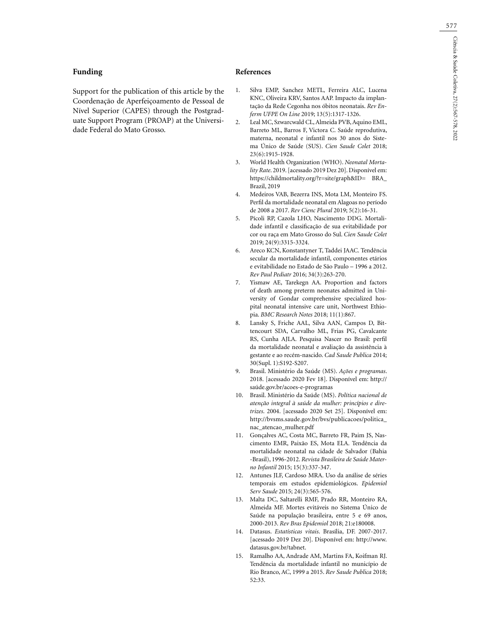## **Funding**

Support for the publication of this article by the Coordenação de Aperfeiçoamento de Pessoal de Nível Superior (CAPES) through the Postgraduate Support Program (PROAP) at the Universidade Federal do Mato Grosso.

### **References**

- 1. Silva EMP, Sanchez METL, Ferreira ALC, Lucena KNC, Oliveira KRV, Santos AAP. Impacto da implantação da Rede Cegonha nos óbitos neonatais. *Rev Enferm UFPE On Line* 2019; 13(5):1317-1326.
- 2. Leal MC, Szwarcwald CL, Almeida PVB, Aquino EML, Barreto ML, Barros F, Victora C. Saúde reprodutiva, materna, neonatal e infantil nos 30 anos do Sistema Único de Saúde (SUS). *Cien Saude Colet* 2018; 23(6):1915-1928.
- 3. World Health Organization (WHO). *Neonatal Mortality Rate*. 2019. [acessado 2019 Dez 20]. Disponível em: https://childmortality.org/?r=site/graph&ID= BRA\_ Brazil, 2019
- 4. Medeiros VAB, Bezerra INS, Mota LM, Monteiro FS. Perfil da mortalidade neonatal em Alagoas no período de 2008 a 2017. *Rev Cienc Plural* 2019; 5(2):16-31.
- 5. Pícoli RP, Cazola LHO, Nascimento DDG. Mortalidade infantil e classificação de sua evitabilidade por cor ou raça em Mato Grosso do Sul. *Cien Saude Colet* 2019; 24(9):3315-3324.
- 6. Areco KCN, Konstantyner T, Taddei JAAC. Tendência secular da mortalidade infantil, componentes etários e evitabilidade no Estado de São Paulo – 1996 a 2012. *Rev Paul Pediatr* 2016; 34(3):263-270.
- 7. Yismaw AE, Tarekegn AA. Proportion and factors of death among preterm neonates admitted in University of Gondar comprehensive specialized hospital neonatal intensive care unit, Northwest Ethiopia. *BMC Research Notes* 2018; 11(1):867.
- 8. Lansky S, Friche AAL, Silva AAN, Campos D, Bittencourt SDA, Carvalho ML, Frias PG, Cavalcante RS, Cunha AJLA. Pesquisa Nascer no Brasil: perfil da mortalidade neonatal e avaliação da assistência à gestante e ao recém-nascido. *Cad Saude Publica* 2014; 30(Supl. 1):S192-S207.
- 9. Brasil. Ministério da Saúde (MS). *Ações e programas*. 2018. [acessado 2020 Fev 18]. Disponível em: http:// saúde.gov.br/acoes-e-programas
- 10. Brasil. Ministério da Saúde (MS). *Política nacional de atenção integral à saúde da mulher: princípios e diretrizes*. 2004. [acessado 2020 Set 25]. Disponível em: http://bvsms.saude.gov.br/bvs/publicacoes/politica\_ nac\_atencao\_mulher.pdf
- 11. Gonçalves AC, Costa MC, Barreto FR, Paim JS, Nascimento EMR, Paixão ES, Mota ELA. Tendência da mortalidade neonatal na cidade de Salvador (Bahia -Brasil), 1996-2012. *Revista Brasileira de Saúde Materno Infantil* 2015; 15(3):337-347.
- 12. Antunes JLF, Cardoso MRA. Uso da análise de séries temporais em estudos epidemiológicos. *Epidemiol Serv Saude* 2015; 24(3):565-576.
- 13. Malta DC, Saltarelli RMF, Prado RR, Monteiro RA, Almeida MF. Mortes evitáveis no Sistema Único de Saúde na população brasileira, entre 5 e 69 anos, 2000-2013. *Rev Bras Epidemiol* 2018; 21:e180008.
- 14. Datasus. *Estatísticas vitais*. Brasília, DF. 2007-2017. [acessado 2019 Dez 20]. Disponível em: http://www. datasus.gov.br/tabnet.
- 15. Ramalho AA, Andrade AM, Martins FA, Koifman RJ. Tendência da mortalidade infantil no município de Rio Branco, AC, 1999 a 2015. *Rev Saude Publica* 2018; 52:33.